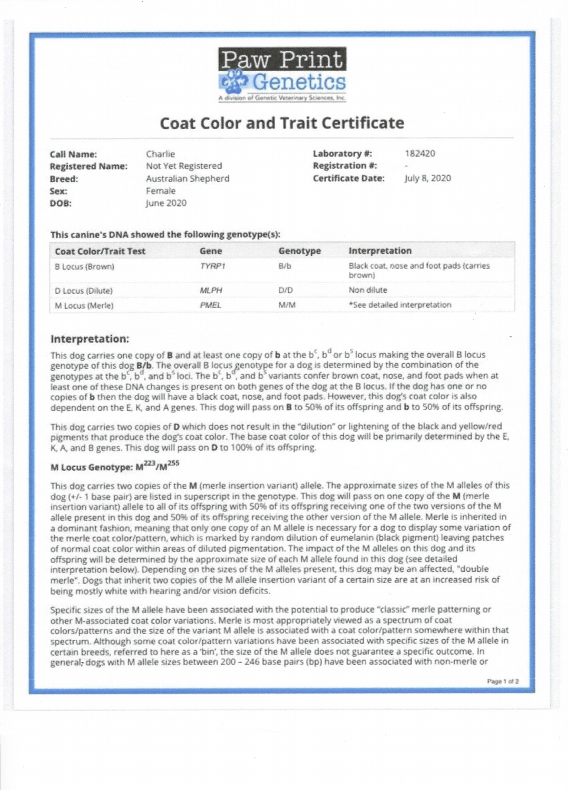

## **Coat Color and Trait Certificate**

| Call Name:              | Charlie             | Laboratory #:            | 182420                |  |
|-------------------------|---------------------|--------------------------|-----------------------|--|
| <b>Registered Name:</b> | Not Yet Registered  | Registration #:          | $\Delta \mathbf{w}$ . |  |
| Breed:                  | Australian Shepherd | <b>Certificate Date:</b> | July 8, 2020          |  |
| Sex:                    | Female              |                          |                       |  |
| DOB:                    | June 2020           |                          |                       |  |

#### This canine's DNA showed the following genotype(s):

| <b>Coat Color/Trait Test</b> | Gene  | Genotype | Interpretation                                    |
|------------------------------|-------|----------|---------------------------------------------------|
| B Locus (Brown)              | TYRP1 | B/b      | Black coat, nose and foot pads (carries<br>brown) |
| D Locus (Dilute)             | MLPH  | D/D      | Non dilute                                        |
| M Locus (Merle)              | PMEL  | M/M      | *See detailed interpretation                      |

### Interpretation:

This dog carries one copy of **B** and at least one copy of **b** at the b<sup>c</sup>, b<sup>d</sup> or b<sup>5</sup> locus making the overall B locus genotype of this dog B/b. The overall B locus genotype for a dog is determined by the combination of the genotypes at the  $b^C$ ,  $b^0$ , and  $b^S$  loci. The  $b^C$ ,  $b^0$ , and  $b^S$  variants confer brown coat, nose, and foot pads when at least one of these DNA changes is present on both genes of the dog at the B locus. If the dog has one or no copies of b then the dog will have a black coat, nose, and foot pads. However, this dog's coat color is also dependent on the E. K, and A genes. This dog will pass on B to 50% of its offspring and b to 50% of its offspring.

This dog carries two copies of D which does not result in the "dilution" or lightening of the black and yellow/red pigments that produce the dog's coat color. The base coat color of this dog will be primarily determined by the E. K, A, and B genes. This dog will pass on D to 100% of its offspring.

## M Locus Genotype: M223/M255

This dog carries two copies of the M (merle insertion variant) allele. The approximate sizes of the M alleles of this dog (+/- 1 base pair) are listed in superscript in the genotype. This dog will pass on one copy of the M (merle insertion variant) allele to all of its offspring with 50% of its offspring receiving one of the two versions of the M allele present in this dog and 50% of its offspring receiving the other version of the M allele. Merle is inherited in a dominant fashion, meaning that only one copy of an M allele is necessary for a dog to display some variation of the merle coat color/pattern, which is marked by random dilution of eumelanin (black pigment) leaving patches of normal coat color within areas of diluted pigmentation. The impact of the M alleles on this dog and its offspring will be determined by the approximate size of each M allele found in this dog (see detailed interpretation below). Depending on the sizes of the M alleles present, this dog may be an affected, "double merle". Dogs that inherit two copies of the M allele insertion variant of a certain size are at an increased risk of being mostly white with hearing and/or vision deficits.

Specific sizes of the M allele have been associated with the potential to produce "classic" merle patterning or other M-associated coat color variations. Merle is most appropriately viewed as a spectrum of coat colors/patterns and the size of the variant M allele is associated with a coat color/pattern somewhere within that spectrum. Although some coat color/pattern variations have been associated with specific sizes of the M allele in certain breeds, referred to here as a 'bin', the size of the M allele does not guarantee a specific outcome. In general, dogs with M allele sizes between 200 - 246 base pairs (bp) have been associated with non-merle or

Page 1 of 2